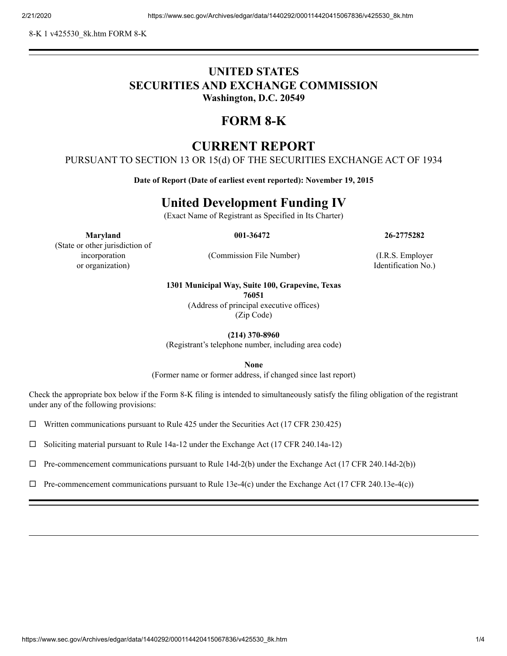8-K 1 v425530\_8k.htm FORM 8-K

### **UNITED STATES SECURITIES AND EXCHANGE COMMISSION Washington, D.C. 20549**

# **FORM 8-K**

## **CURRENT REPORT**

PURSUANT TO SECTION 13 OR 15(d) OF THE SECURITIES EXCHANGE ACT OF 1934

**Date of Report (Date of earliest event reported): November 19, 2015**

# **United Development Funding IV**

(Exact Name of Registrant as Specified in Its Charter)

**Maryland 001-36472 26-2775282**

(State or other jurisdiction of incorporation or organization)

(Commission File Number) (I.R.S. Employer

Identification No.)

#### **1301 Municipal Way, Suite 100, Grapevine, Texas**

**76051**

(Address of principal executive offices) (Zip Code)

**(214) 370-8960**

(Registrant's telephone number, including area code)

**None**

(Former name or former address, if changed since last report)

Check the appropriate box below if the Form 8-K filing is intended to simultaneously satisfy the filing obligation of the registrant under any of the following provisions:

 $\Box$  Written communications pursuant to Rule 425 under the Securities Act (17 CFR 230.425)

 $\Box$  Soliciting material pursuant to Rule 14a-12 under the Exchange Act (17 CFR 240.14a-12)

 $\Box$  Pre-commencement communications pursuant to Rule 14d-2(b) under the Exchange Act (17 CFR 240.14d-2(b))

 $\Box$  Pre-commencement communications pursuant to Rule 13e-4(c) under the Exchange Act (17 CFR 240.13e-4(c))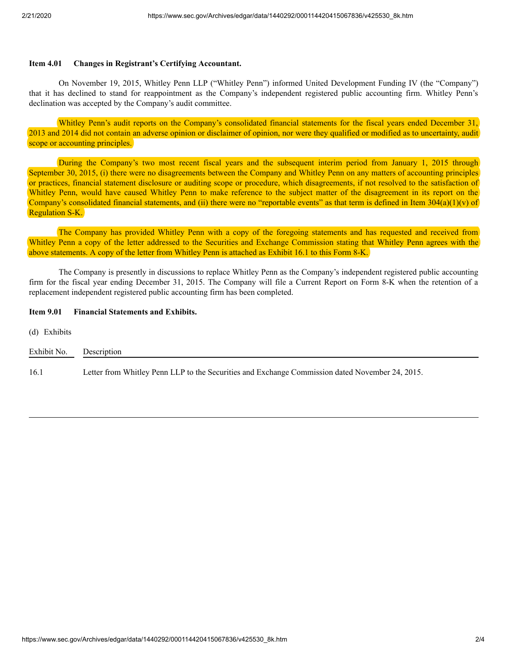### **Item 4.01 Changes in Registrant's Certifying Accountant.**

On November 19, 2015, Whitley Penn LLP ("Whitley Penn") informed United Development Funding IV (the "Company") that it has declined to stand for reappointment as the Company's independent registered public accounting firm. Whitley Penn's declination was accepted by the Company's audit committee.

Whitley Penn's audit reports on the Company's consolidated financial statements for the fiscal years ended December 31, 2013 and 2014 did not contain an adverse opinion or disclaimer of opinion, nor were they qualified or modified as to uncertainty, audit scope or accounting principles.

During the Company's two most recent fiscal years and the subsequent interim period from January 1, 2015 through September 30, 2015, (i) there were no disagreements between the Company and Whitley Penn on any matters of accounting principles or practices, financial statement disclosure or auditing scope or procedure, which disagreements, if not resolved to the satisfaction of Whitley Penn, would have caused Whitley Penn to make reference to the subject matter of the disagreement in its report on the Company's consolidated financial statements, and (ii) there were no "reportable events" as that term is defined in Item  $304(a)(1)(v)$  of Regulation S-K.

The Company has provided Whitley Penn with a copy of the foregoing statements and has requested and received from Whitley Penn a copy of the letter addressed to the Securities and Exchange Commission stating that Whitley Penn agrees with the above statements. A copy of the letter from Whitley Penn is attached as Exhibit 16.1 to this Form 8-K.

The Company is presently in discussions to replace Whitley Penn as the Company's independent registered public accounting firm for the fiscal year ending December 31, 2015. The Company will file a Current Report on Form 8-K when the retention of a replacement independent registered public accounting firm has been completed.

#### **Item 9.01 Financial Statements and Exhibits.**

(d) Exhibits

| Exhibit No. | Description                                                                                     |
|-------------|-------------------------------------------------------------------------------------------------|
| 16.1        | Letter from Whitley Penn LLP to the Securities and Exchange Commission dated November 24, 2015. |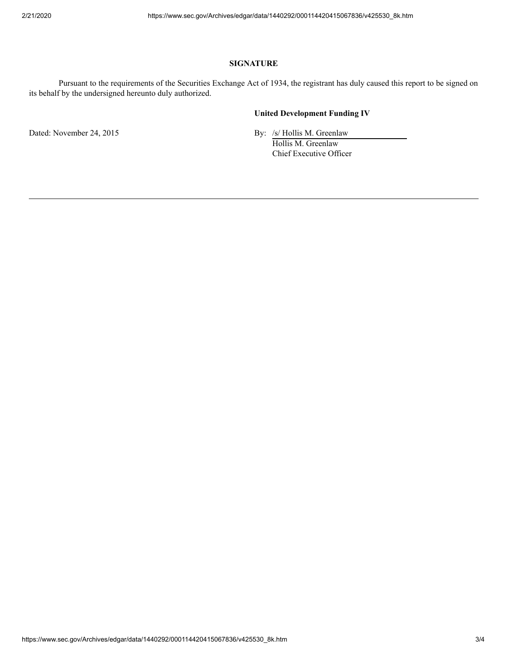### **SIGNATURE**

Pursuant to the requirements of the Securities Exchange Act of 1934, the registrant has duly caused this report to be signed on its behalf by the undersigned hereunto duly authorized.

### **United Development Funding IV**

Dated: November 24, 2015 By: /s/ Hollis M. Greenlaw

Hollis M. Greenlaw Chief Executive Officer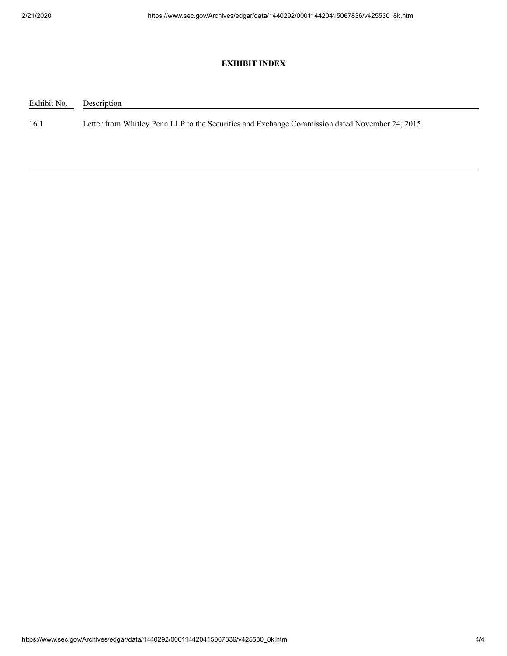### **EXHIBIT INDEX**

Exhibit No. Description

16.1 Letter from Whitley Penn LLP to the Securities and Exchange Commission dated November 24, 2015.